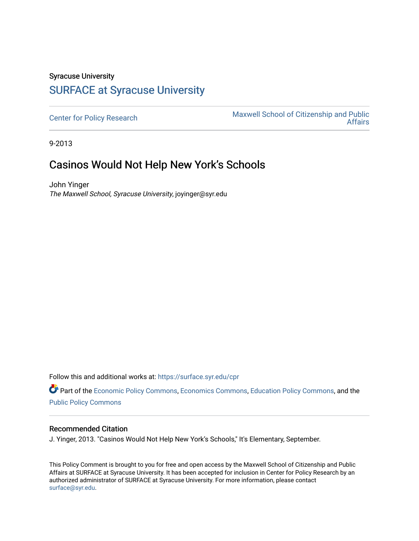## Syracuse University [SURFACE at Syracuse University](https://surface.syr.edu/)

[Center for Policy Research](https://surface.syr.edu/cpr) Maxwell School of Citizenship and Public<br>Affairs [Affairs](https://surface.syr.edu/maxwell) 

9-2013

## Casinos Would Not Help New York's Schools

John Yinger The Maxwell School, Syracuse University, joyinger@syr.edu

Follow this and additional works at: [https://surface.syr.edu/cpr](https://surface.syr.edu/cpr?utm_source=surface.syr.edu%2Fcpr%2F350&utm_medium=PDF&utm_campaign=PDFCoverPages) 

Part of the [Economic Policy Commons](http://network.bepress.com/hgg/discipline/1025?utm_source=surface.syr.edu%2Fcpr%2F350&utm_medium=PDF&utm_campaign=PDFCoverPages), [Economics Commons,](http://network.bepress.com/hgg/discipline/340?utm_source=surface.syr.edu%2Fcpr%2F350&utm_medium=PDF&utm_campaign=PDFCoverPages) [Education Policy Commons](http://network.bepress.com/hgg/discipline/1026?utm_source=surface.syr.edu%2Fcpr%2F350&utm_medium=PDF&utm_campaign=PDFCoverPages), and the [Public Policy Commons](http://network.bepress.com/hgg/discipline/400?utm_source=surface.syr.edu%2Fcpr%2F350&utm_medium=PDF&utm_campaign=PDFCoverPages)

## Recommended Citation

J. Yinger, 2013. "Casinos Would Not Help New York's Schools," It's Elementary, September.

This Policy Comment is brought to you for free and open access by the Maxwell School of Citizenship and Public Affairs at SURFACE at Syracuse University. It has been accepted for inclusion in Center for Policy Research by an authorized administrator of SURFACE at Syracuse University. For more information, please contact [surface@syr.edu.](mailto:surface@syr.edu)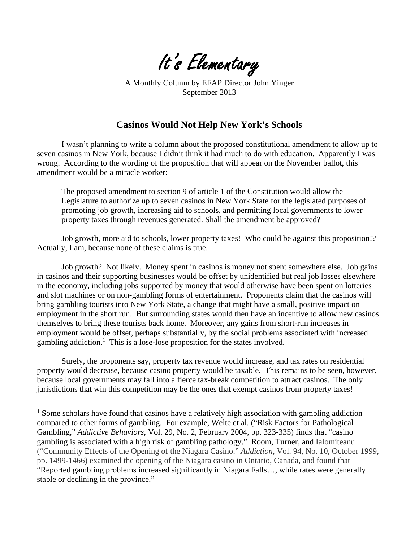

A Monthly Column by EFAP Director John Yinger September 2013

## **Casinos Would Not Help New York's Schools**

I wasn't planning to write a column about the proposed constitutional amendment to allow up to seven casinos in New York, because I didn't think it had much to do with education. Apparently I was wrong. According to the wording of the proposition that will appear on the November ballot, this amendment would be a miracle worker:

The proposed amendment to section 9 of article 1 of the Constitution would allow the Legislature to authorize up to seven casinos in New York State for the legislated purposes of promoting job growth, increasing aid to schools, and permitting local governments to lower property taxes through revenues generated. Shall the amendment be approved?

Job growth, more aid to schools, lower property taxes! Who could be against this proposition!? Actually, I am, because none of these claims is true.

Job growth? Not likely. Money spent in casinos is money not spent somewhere else. Job gains in casinos and their supporting businesses would be offset by unidentified but real job losses elsewhere in the economy, including jobs supported by money that would otherwise have been spent on lotteries and slot machines or on non-gambling forms of entertainment. Proponents claim that the casinos will bring gambling tourists into New York State, a change that might have a small, positive impact on employment in the short run. But surrounding states would then have an incentive to allow new casinos themselves to bring these tourists back home. Moreover, any gains from short-run increases in employment would be offset, perhaps substantially, by the social problems associated with increased gambling addiction.<sup>1</sup> This is a lose-lose proposition for the states involved.

Surely, the proponents say, property tax revenue would increase, and tax rates on residential property would decrease, because casino property would be taxable. This remains to be seen, however, because local governments may fall into a fierce tax-break competition to attract casinos. The only jurisdictions that win this competition may be the ones that exempt casinos from property taxes!

 $\overline{a}$ 

<sup>&</sup>lt;sup>1</sup> Some scholars have found that casinos have a relatively high association with gambling addiction compared to other forms of gambling. For example, Welte et al. ("Risk Factors for Pathological Gambling," *Addictive Behaviors*, Vol. 29, No. 2, February 2004, pp. 323-335) finds that "casino gambling is associated with a high risk of gambling pathology." Room, Turner, and Ialomiteanu ("Community Effects of the Opening of the Niagara Casino." *Addiction*, Vol. 94, No. 10, October 1999, pp. 1499-1466) examined the opening of the Niagara casino in Ontario, Canada, and found that "Reported gambling problems increased significantly in Niagara Falls…, while rates were generally stable or declining in the province."